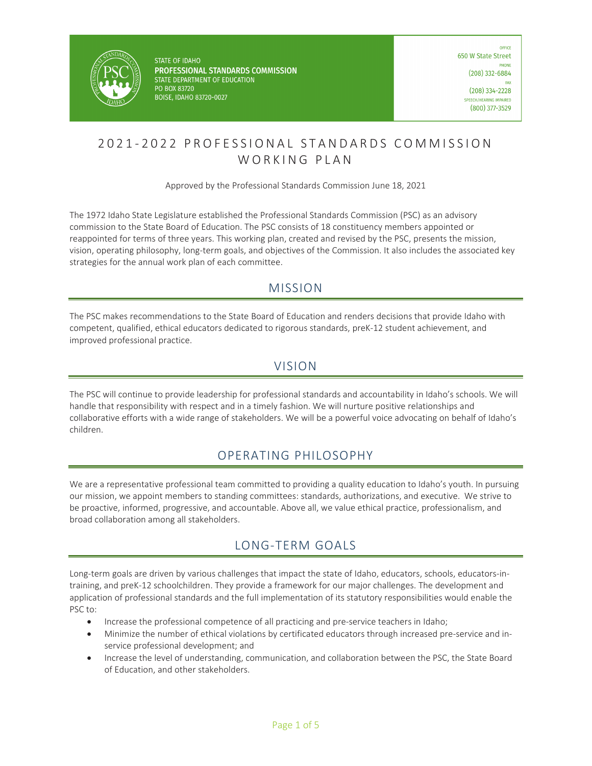

**STATE OF IDAHO** PROFESSIONAL STANDARDS COMMISSION STATE DEPARTMENT OF EDUCATION PO BOX 83720 BOISE, IDAHO 83720-0027

# 2021 - 2022 PROFESSIONAL STANDAR DS COMMISSION WORKING PLAN

### Approved by the Professional Standards Commission June 18, 2021

The 1972 Idaho State Legislature established the Professional Standards Commission (PSC) as an advisory commission to the State Board of Education. The PSC consists of 18 constituency members appointed or reappointed for terms of three years. This working plan, created and revised by the PSC, presents the mission, vision, operating philosophy, long-term goals, and objectives of the Commission. It also includes the associated key strategies for the annual work plan of each committee.

# MISSION

The PSC makes recommendations to the State Board of Education and renders decisions that provide Idaho with competent, qualified, ethical educators dedicated to rigorous standards, preK-12 student achievement, and improved professional practice.

# VISION

The PSC will continue to provide leadership for professional standards and accountability in Idaho's schools. We will handle that responsibility with respect and in a timely fashion. We will nurture positive relationships and collaborative efforts with a wide range of stakeholders. We will be a powerful voice advocating on behalf of Idaho's children.

# OPERATING PHILOSOPHY

We are a representative professional team committed to providing a quality education to Idaho's youth. In pursuing our mission, we appoint members to standing committees: standards, authorizations, and executive. We strive to be proactive, informed, progressive, and accountable. Above all, we value ethical practice, professionalism, and broad collaboration among all stakeholders.

# LONG-TERM GOALS

Long-term goals are driven by various challenges that impact the state of Idaho, educators, schools, educators-intraining, and preK-12 schoolchildren. They provide a framework for our major challenges. The development and application of professional standards and the full implementation of its statutory responsibilities would enable the PSC to:

- Increase the professional competence of all practicing and pre-service teachers in Idaho;
- Minimize the number of ethical violations by certificated educators through increased pre-service and inservice professional development; and
- Increase the level of understanding, communication, and collaboration between the PSC, the State Board of Education, and other stakeholders.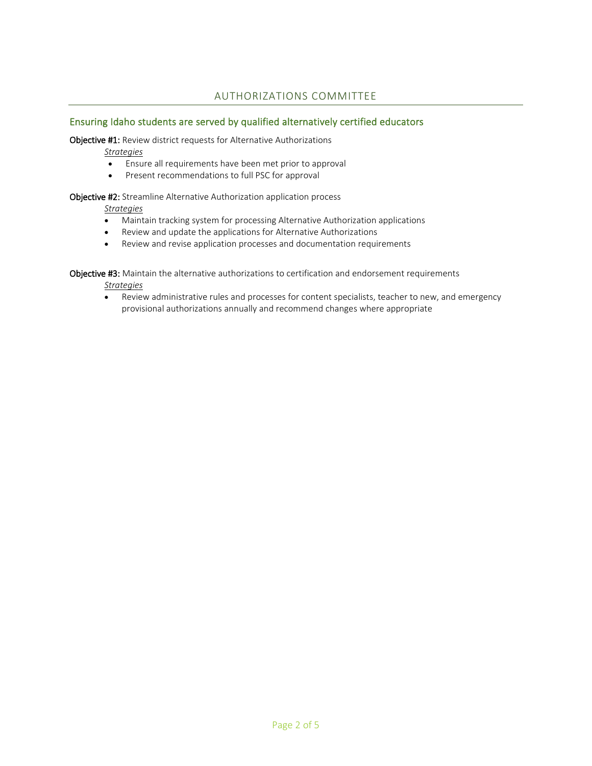## AUTHORIZATIONS COMMITTEE

### Ensuring Idaho students are served by qualified alternatively certified educators

Objective #1: Review district requests for Alternative Authorizations

*Strategies*

- Ensure all requirements have been met prior to approval
- Present recommendations to full PSC for approval

Objective #2: Streamline Alternative Authorization application process

#### *Strategies*

- Maintain tracking system for processing Alternative Authorization applications
- Review and update the applications for Alternative Authorizations
- Review and revise application processes and documentation requirements

Objective #3: Maintain the alternative authorizations to certification and endorsement requirements *Strategies*

• Review administrative rules and processes for content specialists, teacher to new, and emergency provisional authorizations annually and recommend changes where appropriate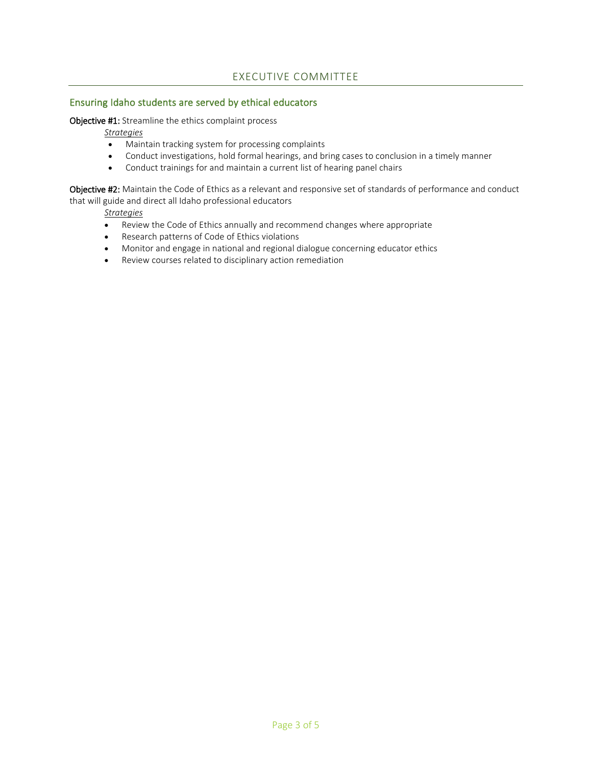## EXECUTIVE COMMITTEE

### Ensuring Idaho students are served by ethical educators

#### Objective #1: Streamline the ethics complaint process

*Strategies*

- Maintain tracking system for processing complaints
- Conduct investigations, hold formal hearings, and bring cases to conclusion in a timely manner
- Conduct trainings for and maintain a current list of hearing panel chairs

Objective #2: Maintain the Code of Ethics as a relevant and responsive set of standards of performance and conduct that will guide and direct all Idaho professional educators

*Strategies*

- Review the Code of Ethics annually and recommend changes where appropriate
- Research patterns of Code of Ethics violations
- Monitor and engage in national and regional dialogue concerning educator ethics
- Review courses related to disciplinary action remediation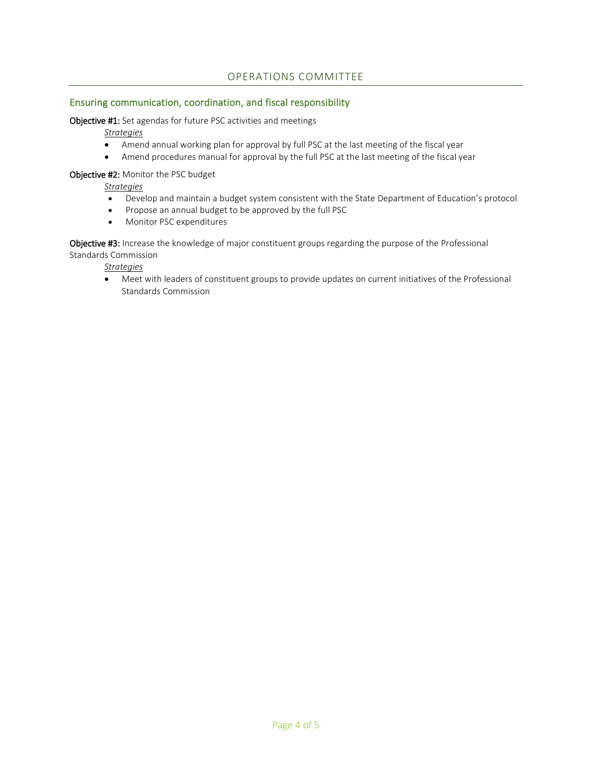## OPERATIONS COMMITTEE

### Ensuring communication, coordination, and fiscal responsibility

Objective #1: Set agendas for future PSC activities and meetings

*Strategies*

- Amend annual working plan for approval by full PSC at the last meeting of the fiscal year
- Amend procedures manual for approval by the full PSC at the last meeting of the fiscal year

#### Objective #2: Monitor the PSC budget

*Strategies*

- Develop and maintain a budget system consistent with the State Department of Education's protocol
- Propose an annual budget to be approved by the full PSC
- Monitor PSC expenditures

Objective #3: Increase the knowledge of major constituent groups regarding the purpose of the Professional Standards Commission

*Strategies*

• Meet with leaders of constituent groups to provide updates on current initiatives of the Professional Standards Commission